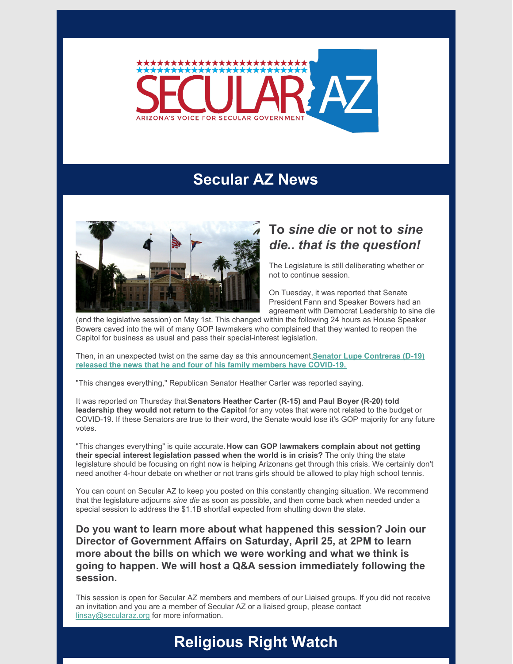

## **Secular AZ News**



## **To** *sine die* **or not to** *sine die.. that is the question!*

The Legislature is still deliberating whether or not to continue session.

On Tuesday, it was reported that Senate President Fann and Speaker Bowers had an agreement with Democrat Leadership to sine die

(end the legislative session) on May 1st. This changed within the following 24 hours as House Speaker Bowers caved into the will of many GOP lawmakers who complained that they wanted to reopen the Capitol for business as usual and pass their special-interest legislation.

Then, in an unexpected twist on the same day as this [announcement,](https://www.12news.com/article/news/local/arizona/state-senator-lupe-contreras-and-5-other-family-members-test-positive-for-covid-19/75-9d31be51-b41e-4868-90d1-dbbfdee41bf2)**Senator Lupe Contreras (D-19) released the news that he and four of his family members have COVID-19.**

"This changes everything," Republican Senator Heather Carter was reported saying.

It was reported on Thursday that**Senators Heather Carter (R-15) and Paul Boyer (R-20) told leadership they would not return to the Capitol** for any votes that were not related to the budget or COVID-19. If these Senators are true to their word, the Senate would lose it's GOP majority for any future votes.

"This changes everything" is quite accurate.**How can GOP lawmakers complain about not getting their special interest legislation passed when the world is in crisis?** The only thing the state legislature should be focusing on right now is helping Arizonans get through this crisis. We certainly don't need another 4-hour debate on whether or not trans girls should be allowed to play high school tennis.

You can count on Secular AZ to keep you posted on this constantly changing situation. We recommend that the legislature adjourns *sine die* as soon as possible, and then come back when needed under a special session to address the \$1.1B shortfall expected from shutting down the state.

**Do you want to learn more about what happened this session? Join our Director of Government Affairs on Saturday, April 25, at 2PM to learn more about the bills on which we were working and what we think is going to happen. We will host a Q&A session immediately following the session.**

This session is open for Secular AZ members and members of our Liaised groups. If you did not receive an invitation and you are a member of Secular AZ or a liaised group, please contact [linsay@secularaz.org](mailto:linsay@secularaz.org) for more information.

## **Religious Right Watch**